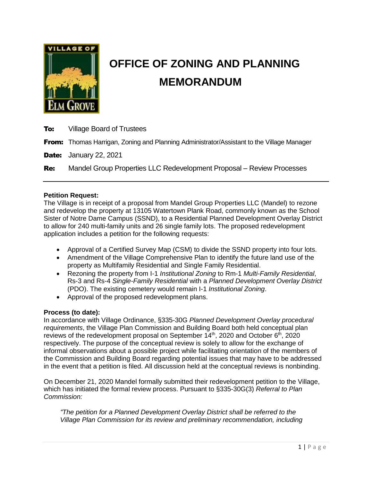

# **OFFICE OF ZONING AND PLANNING MEMORANDUM**

**To:** Village Board of Trustees

**From:** Thomas Harrigan, Zoning and Planning Administrator/Assistant to the Village Manager

**Date:** January 22, 2021

Re: Mandel Group Properties LLC Redevelopment Proposal – Review Processes

## **Petition Request:**

The Village is in receipt of a proposal from Mandel Group Properties LLC (Mandel) to rezone and redevelop the property at 13105 Watertown Plank Road, commonly known as the School Sister of Notre Dame Campus (SSND), to a Residential Planned Development Overlay District to allow for 240 multi-family units and 26 single family lots. The proposed redevelopment application includes a petition for the following requests:

- Approval of a Certified Survey Map (CSM) to divide the SSND property into four lots.
- Amendment of the Village Comprehensive Plan to identify the future land use of the property as Multifamily Residential and Single Family Residential.
- Rezoning the property from I-1 *Institutional Zoning* to Rm-1 *Multi-Family Residential*, Rs-3 and Rs-4 *Single-Family Residential* with a *Planned Development Overlay District*  (PDO). The existing cemetery would remain I-1 *Institutional Zoning*.
- Approval of the proposed redevelopment plans.

## **Process (to date):**

In accordance with Village Ordinance, §335-30G *Planned Development Overlay procedural requirements*, the Village Plan Commission and Building Board both held conceptual plan reviews of the redevelopment proposal on September  $14<sup>th</sup>$ , 2020 and October  $6<sup>th</sup>$ , 2020 respectively. The purpose of the conceptual review is solely to allow for the exchange of informal observations about a possible project while facilitating orientation of the members of the Commission and Building Board regarding potential issues that may have to be addressed in the event that a petition is filed. All discussion held at the conceptual reviews is nonbinding.

On December 21, 2020 Mandel formally submitted their redevelopment petition to the Village, which has initiated the formal review process. Pursuant to §335-30G(3) *Referral to Plan Commission:*

*"The petition for a Planned Development Overlay District shall be referred to the Village Plan Commission for its review and preliminary recommendation, including*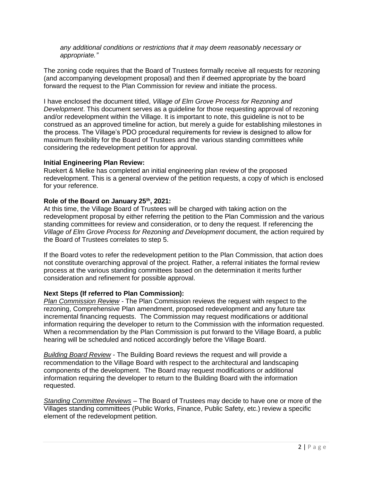*any additional conditions or restrictions that it may deem reasonably necessary or appropriate."*

The zoning code requires that the Board of Trustees formally receive all requests for rezoning (and accompanying development proposal) and then if deemed appropriate by the board forward the request to the Plan Commission for review and initiate the process.

I have enclosed the document titled, *Village of Elm Grove Process for Rezoning and Development*. This document serves as a guideline for those requesting approval of rezoning and/or redevelopment within the Village. It is important to note, this guideline is not to be construed as an approved timeline for action, but merely a guide for establishing milestones in the process. The Village's PDO procedural requirements for review is designed to allow for maximum flexibility for the Board of Trustees and the various standing committees while considering the redevelopment petition for approval.

#### **Initial Engineering Plan Review:**

Ruekert & Mielke has completed an initial engineering plan review of the proposed redevelopment. This is a general overview of the petition requests, a copy of which is enclosed for your reference.

#### **Role of the Board on January 25th, 2021:**

At this time, the Village Board of Trustees will be charged with taking action on the redevelopment proposal by either referring the petition to the Plan Commission and the various standing committees for review and consideration, or to deny the request. If referencing the *Village of Elm Grove Process for Rezoning and Development* document, the action required by the Board of Trustees correlates to step 5.

If the Board votes to refer the redevelopment petition to the Plan Commission, that action does not constitute overarching approval of the project. Rather, a referral initiates the formal review process at the various standing committees based on the determination it merits further consideration and refinement for possible approval.

#### **Next Steps (If referred to Plan Commission):**

*Plan Commission Review -* The Plan Commission reviews the request with respect to the rezoning, Comprehensive Plan amendment, proposed redevelopment and any future tax incremental financing requests. The Commission may request modifications or additional information requiring the developer to return to the Commission with the information requested. When a recommendation by the Plan Commission is put forward to the Village Board, a public hearing will be scheduled and noticed accordingly before the Village Board.

*Building Board Review* - The Building Board reviews the request and will provide a recommendation to the Village Board with respect to the architectural and landscaping components of the development. The Board may request modifications or additional information requiring the developer to return to the Building Board with the information requested.

*Standing Committee Reviews* – The Board of Trustees may decide to have one or more of the Villages standing committees (Public Works, Finance, Public Safety, etc.) review a specific element of the redevelopment petition.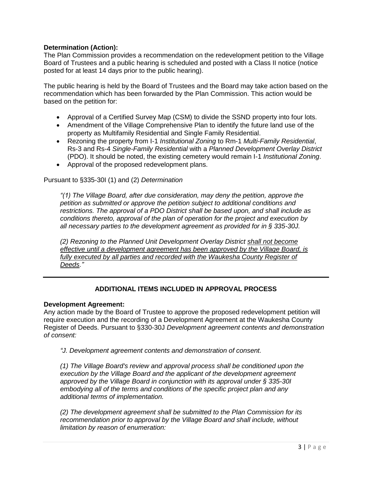# **Determination (Action):**

The Plan Commission provides a recommendation on the redevelopment petition to the Village Board of Trustees and a public hearing is scheduled and posted with a Class II notice (notice posted for at least 14 days prior to the public hearing).

The public hearing is held by the Board of Trustees and the Board may take action based on the recommendation which has been forwarded by the Plan Commission. This action would be based on the petition for:

- Approval of a Certified Survey Map (CSM) to divide the SSND property into four lots.
- Amendment of the Village Comprehensive Plan to identify the future land use of the property as Multifamily Residential and Single Family Residential.
- Rezoning the property from I-1 *Institutional Zoning* to Rm-1 *Multi-Family Residential*, Rs-3 and Rs-4 *Single-Family Residential* with a *Planned Development Overlay District*  (PDO). It should be noted, the existing cemetery would remain I-1 *Institutional Zoning*.
- Approval of the proposed redevelopment plans.

Pursuant to §335-30I (1) and (2) *Determination*

*"(1) The Village Board, after due consideration, may deny the petition, approve the petition as submitted or approve the petition subject to additional conditions and restrictions. The approval of a PDO District shall be based upon, and shall include as conditions thereto, approval of the plan of operation for the project and execution by all necessary parties to the development agreement as provided for in § 335-30J.*

*(2) Rezoning to the Planned Unit Development Overlay District shall not become effective until a development agreement has been approved by the Village Board, is*  fully executed by all parties and recorded with the Waukesha County Register of *Deeds."*

# **ADDITIONAL ITEMS INCLUDED IN APPROVAL PROCESS**

#### **Development Agreement:**

Any action made by the Board of Trustee to approve the proposed redevelopment petition will require execution and the recording of a Development Agreement at the Waukesha County Register of Deeds. Pursuant to §330-30J *Development agreement contents and demonstration of consent:*

*"J. Development agreement contents and demonstration of consent.*

*(1) The Village Board's review and approval process shall be conditioned upon the execution by the Village Board and the applicant of the development agreement approved by the Village Board in conjunction with its approval under § 335-30I embodying all of the terms and conditions of the specific project plan and any additional terms of implementation.*

*(2) The development agreement shall be submitted to the Plan Commission for its recommendation prior to approval by the Village Board and shall include, without limitation by reason of enumeration:*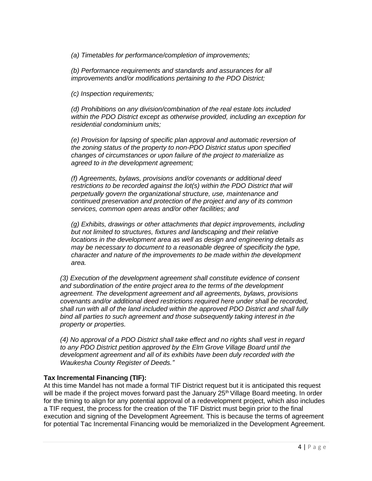*(a) Timetables for performance/completion of improvements;*

*(b) Performance requirements and standards and assurances for all improvements and/or modifications pertaining to the PDO District;*

*(c) Inspection requirements;*

*(d) Prohibitions on any division/combination of the real estate lots included within the PDO District except as otherwise provided, including an exception for residential condominium units;*

*(e) Provision for lapsing of specific plan approval and automatic reversion of the zoning status of the property to non-PDO District status upon specified changes of circumstances or upon failure of the project to materialize as agreed to in the development agreement;*

*(f) Agreements, bylaws, provisions and/or covenants or additional deed restrictions to be recorded against the lot(s) within the PDO District that will perpetually govern the organizational structure, use, maintenance and continued preservation and protection of the project and any of its common services, common open areas and/or other facilities; and*

*(g) Exhibits, drawings or other attachments that depict improvements, including but not limited to structures, fixtures and landscaping and their relative locations in the development area as well as design and engineering details as may be necessary to document to a reasonable degree of specificity the type, character and nature of the improvements to be made within the development area.*

*(3) Execution of the development agreement shall constitute evidence of consent and subordination of the entire project area to the terms of the development agreement. The development agreement and all agreements, bylaws, provisions covenants and/or additional deed restrictions required here under shall be recorded, shall run with all of the land included within the approved PDO District and shall fully bind all parties to such agreement and those subsequently taking interest in the property or properties.*

*(4) No approval of a PDO District shall take effect and no rights shall vest in regard to any PDO District petition approved by the Elm Grove Village Board until the development agreement and all of its exhibits have been duly recorded with the Waukesha County Register of Deeds."*

## **Tax Incremental Financing (TIF):**

At this time Mandel has not made a formal TIF District request but it is anticipated this request will be made if the project moves forward past the January 25<sup>th</sup> Village Board meeting. In order for the timing to align for any potential approval of a redevelopment project, which also includes a TIF request, the process for the creation of the TIF District must begin prior to the final execution and signing of the Development Agreement. This is because the terms of agreement for potential Tac Incremental Financing would be memorialized in the Development Agreement.